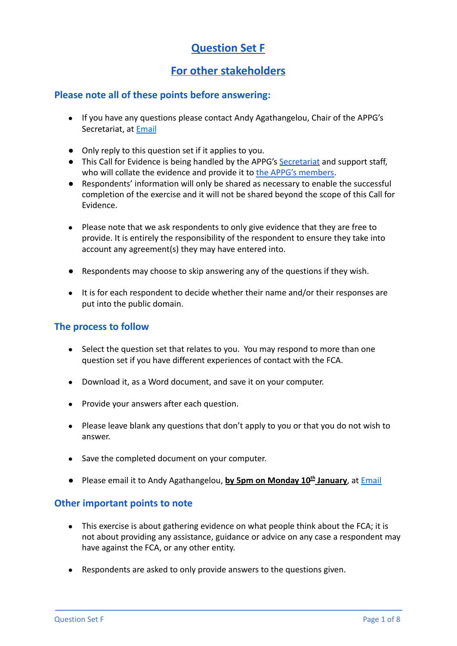# **Question Set F**

# **For other stakeholders**

# **Please note all of these points before answering:**

- If you have any questions please contact Andy Agathangelou, Chair of the APPG's Secretariat, at [Email](mailto:andy.agathangelou@transparencytaskforce.org?subject=%20My%20submission%20to%20the%20Call%20for%20Evidence%20about%20the%20FCA)
- Only reply to this question set if it applies to you.
- This Call for Evidence is being handled by the APPG's [Secretariat](https://appgonpersonalbankingandfairerfinancialservices.org/about-us/secretariat) and support staff, who will collate the evidence and provide it to the [APPG's members.](https://appgonpersonalbankingandfairerfinancialservices.org/about-us/members)
- Respondents' information will only be shared as necessary to enable the successful completion of the exercise and it will not be shared beyond the scope of this Call for Evidence.
- Please note that we ask respondents to only give evidence that they are free to provide. It is entirely the responsibility of the respondent to ensure they take into account any agreement(s) they may have entered into.
- Respondents may choose to skip answering any of the questions if they wish.
- It is for each respondent to decide whether their name and/or their responses are put into the public domain.

## **The process to follow**

- Select the question set that relates to you. You may respond to more than one question set if you have different experiences of contact with the FCA.
- Download it, as a Word document, and save it on your computer.
- Provide your answers after each question.
- Please leave blank any questions that don't apply to you or that you do not wish to answer.
- Save the completed document on your computer.
- Please email it to Andy Agathangelou, **by 5pm on Monday 10th January**, at [Email](mailto:andy.agathangelou@transparencytaskforce.org?subject=%20My%20submission%20to%20the%20Call%20for%20Evidence%20about%20the%20FCA)

### **Other important points to note**

- This exercise is about gathering evidence on what people think about the FCA; it is not about providing any assistance, guidance or advice on any case a respondent may have against the FCA, or any other entity.
- Respondents are asked to only provide answers to the questions given.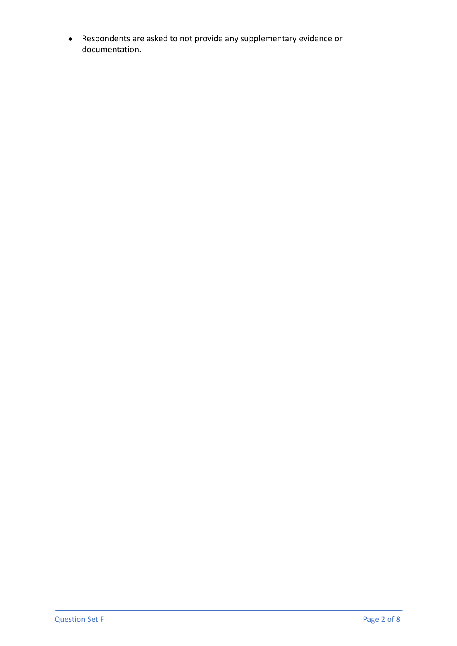● Respondents are asked to not provide any supplementary evidence or documentation.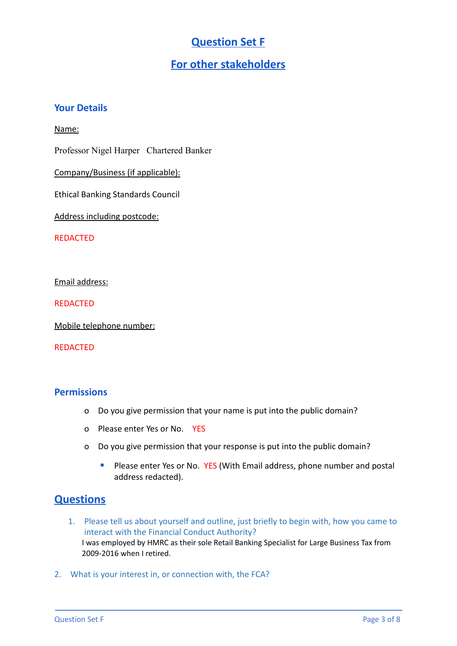# **Question Set F**

# **For other stakeholders**

## **Your Details**

#### Name:

Professor Nigel Harper Chartered Banker

Company/Business (if applicable):

Ethical Banking Standards Council

Address including postcode:

REDACTED

Email address:

REDACTED

Mobile telephone number:

#### REDACTED

#### **Permissions**

- o Do you give permission that your name is put into the public domain?
- o Please enter Yes or No. YES
- o Do you give permission that your response is put into the public domain?
	- Please enter Yes or No. YES (With Email address, phone number and postal address redacted).

# **Questions**

- 1. Please tell us about yourself and outline, just briefly to begin with, how you came to interact with the Financial Conduct Authority? I was employed by HMRC as their sole Retail Banking Specialist for Large Business Tax from 2009-2016 when I retired.
- 2. What is your interest in, or connection with, the FCA?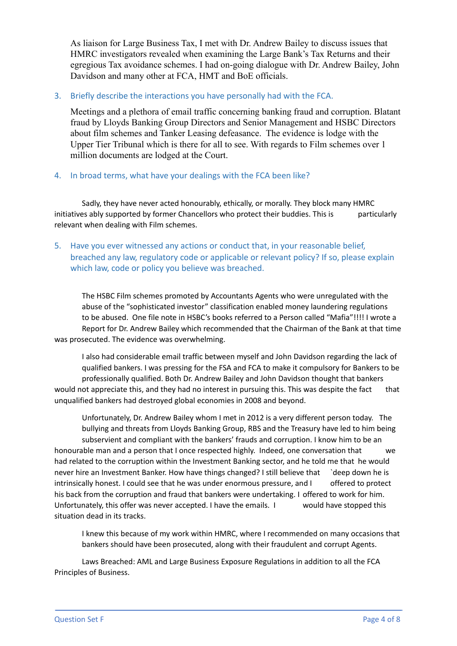As liaison for Large Business Tax, I met with Dr. Andrew Bailey to discuss issues that HMRC investigators revealed when examining the Large Bank's Tax Returns and their egregious Tax avoidance schemes. I had on-going dialogue with Dr. Andrew Bailey, John Davidson and many other at FCA, HMT and BoE officials.

#### 3. Briefly describe the interactions you have personally had with the FCA.

Meetings and a plethora of email traffic concerning banking fraud and corruption. Blatant fraud by Lloyds Banking Group Directors and Senior Management and HSBC Directors about film schemes and Tanker Leasing defeasance. The evidence is lodge with the Upper Tier Tribunal which is there for all to see. With regards to Film schemes over 1 million documents are lodged at the Court.

#### 4. In broad terms, what have your dealings with the FCA been like?

Sadly, they have never acted honourably, ethically, or morally. They block many HMRC initiatives ably supported by former Chancellors who protect their buddies. This is particularly relevant when dealing with Film schemes.

#### 5. Have you ever witnessed any actions or conduct that, in your reasonable belief, breached any law, regulatory code or applicable or relevant policy? If so, please explain which law, code or policy you believe was breached.

The HSBC Film schemes promoted by Accountants Agents who were unregulated with the abuse of the "sophisticated investor" classification enabled money laundering regulations to be abused. One file note in HSBC's books referred to a Person called "Mafia"!!!! I wrote a Report for Dr. Andrew Bailey which recommended that the Chairman of the Bank at that time was prosecuted. The evidence was overwhelming.

I also had considerable email traffic between myself and John Davidson regarding the lack of qualified bankers. I was pressing for the FSA and FCA to make it compulsory for Bankers to be professionally qualified. Both Dr. Andrew Bailey and John Davidson thought that bankers would not appreciate this, and they had no interest in pursuing this. This was despite the fact that unqualified bankers had destroyed global economies in 2008 and beyond.

Unfortunately, Dr. Andrew Bailey whom I met in 2012 is a very different person today. The bullying and threats from Lloyds Banking Group, RBS and the Treasury have led to him being subservient and compliant with the bankers' frauds and corruption. I know him to be an honourable man and a person that I once respected highly. Indeed, one conversation that we had related to the corruption within the Investment Banking sector, and he told me that he would never hire an Investment Banker. How have things changed? I still believe that `deep down he is intrinsically honest. I could see that he was under enormous pressure, and I offered to protect his back from the corruption and fraud that bankers were undertaking. I offered to work for him. Unfortunately, this offer was never accepted. I have the emails. I would have stopped this situation dead in its tracks.

I knew this because of my work within HMRC, where I recommended on many occasions that bankers should have been prosecuted, along with their fraudulent and corrupt Agents.

Laws Breached: AML and Large Business Exposure Regulations in addition to all the FCA Principles of Business.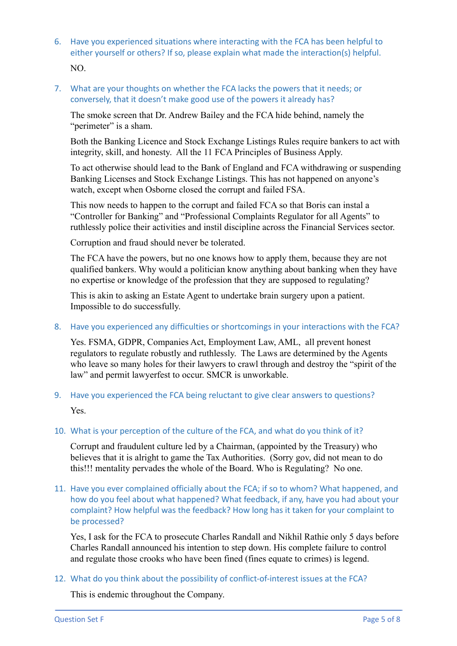- 6. Have you experienced situations where interacting with the FCA has been helpful to either yourself or others? If so, please explain what made the interaction(s) helpful. NO.
- 7. What are your thoughts on whether the FCA lacks the powers that it needs; or conversely, that it doesn't make good use of the powers it already has?

The smoke screen that Dr. Andrew Bailey and the FCA hide behind, namely the "perimeter" is a sham.

Both the Banking Licence and Stock Exchange Listings Rules require bankers to act with integrity, skill, and honesty. All the 11 FCA Principles of Business Apply.

To act otherwise should lead to the Bank of England and FCA withdrawing or suspending Banking Licenses and Stock Exchange Listings. This has not happened on anyone's watch, except when Osborne closed the corrupt and failed FSA.

This now needs to happen to the corrupt and failed FCA so that Boris can instal a "Controller for Banking" and "Professional Complaints Regulator for all Agents" to ruthlessly police their activities and instil discipline across the Financial Services sector.

Corruption and fraud should never be tolerated.

The FCA have the powers, but no one knows how to apply them, because they are not qualified bankers. Why would a politician know anything about banking when they have no expertise or knowledge of the profession that they are supposed to regulating?

This is akin to asking an Estate Agent to undertake brain surgery upon a patient. Impossible to do successfully.

8. Have you experienced any difficulties or shortcomings in your interactions with the FCA?

Yes. FSMA, GDPR, Companies Act, Employment Law, AML, all prevent honest regulators to regulate robustly and ruthlessly. The Laws are determined by the Agents who leave so many holes for their lawyers to crawl through and destroy the "spirit of the law" and permit lawyerfest to occur. SMCR is unworkable.

9. Have you experienced the FCA being reluctant to give clear answers to questions? Yes.

### 10. What is your perception of the culture of the FCA, and what do you think of it?

Corrupt and fraudulent culture led by a Chairman, (appointed by the Treasury) who believes that it is alright to game the Tax Authorities. (Sorry gov, did not mean to do this!!! mentality pervades the whole of the Board. Who is Regulating? No one.

11. Have you ever complained officially about the FCA; if so to whom? What happened, and how do you feel about what happened? What feedback, if any, have you had about your complaint? How helpful was the feedback? How long has it taken for your complaint to be processed?

Yes, I ask for the FCA to prosecute Charles Randall and Nikhil Rathie only 5 days before Charles Randall announced his intention to step down. His complete failure to control and regulate those crooks who have been fined (fines equate to crimes) is legend.

12. What do you think about the possibility of conflict-of-interest issues at the FCA?

This is endemic throughout the Company.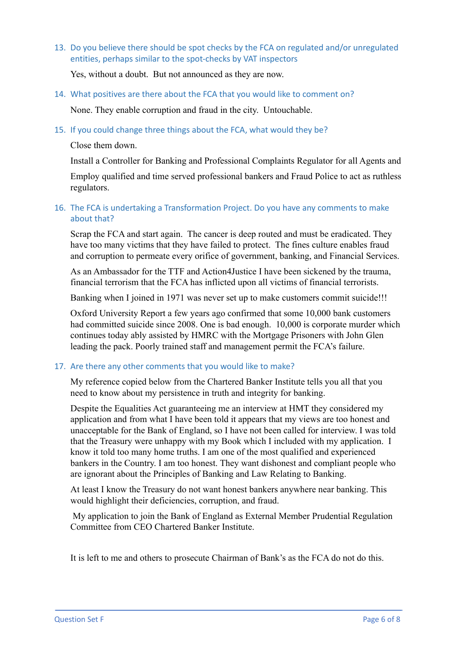13. Do you believe there should be spot checks by the FCA on regulated and/or unregulated entities, perhaps similar to the spot-checks by VAT inspectors

Yes, without a doubt. But not announced as they are now.

14. What positives are there about the FCA that you would like to comment on?

None. They enable corruption and fraud in the city. Untouchable.

15. If you could change three things about the FCA, what would they be?

Close them down.

Install a Controller for Banking and Professional Complaints Regulator for all Agents and

Employ qualified and time served professional bankers and Fraud Police to act as ruthless regulators.

#### 16. The FCA is undertaking a Transformation Project. Do you have any comments to make about that?

Scrap the FCA and start again. The cancer is deep routed and must be eradicated. They have too many victims that they have failed to protect. The fines culture enables fraud and corruption to permeate every orifice of government, banking, and Financial Services.

As an Ambassador for the TTF and Action4Justice I have been sickened by the trauma, financial terrorism that the FCA has inflicted upon all victims of financial terrorists.

Banking when I joined in 1971 was never set up to make customers commit suicide!!!

Oxford University Report a few years ago confirmed that some 10,000 bank customers had committed suicide since 2008. One is bad enough. 10,000 is corporate murder which continues today ably assisted by HMRC with the Mortgage Prisoners with John Glen leading the pack. Poorly trained staff and management permit the FCA's failure.

#### 17. Are there any other comments that you would like to make?

My reference copied below from the Chartered Banker Institute tells you all that you need to know about my persistence in truth and integrity for banking.

Despite the Equalities Act guaranteeing me an interview at HMT they considered my application and from what I have been told it appears that my views are too honest and unacceptable for the Bank of England, so I have not been called for interview. I was told that the Treasury were unhappy with my Book which I included with my application. I know it told too many home truths. I am one of the most qualified and experienced bankers in the Country. I am too honest. They want dishonest and compliant people who are ignorant about the Principles of Banking and Law Relating to Banking.

At least I know the Treasury do not want honest bankers anywhere near banking. This would highlight their deficiencies, corruption, and fraud.

My application to join the Bank of England as External Member Prudential Regulation Committee from CEO Chartered Banker Institute.

It is left to me and others to prosecute Chairman of Bank's as the FCA do not do this.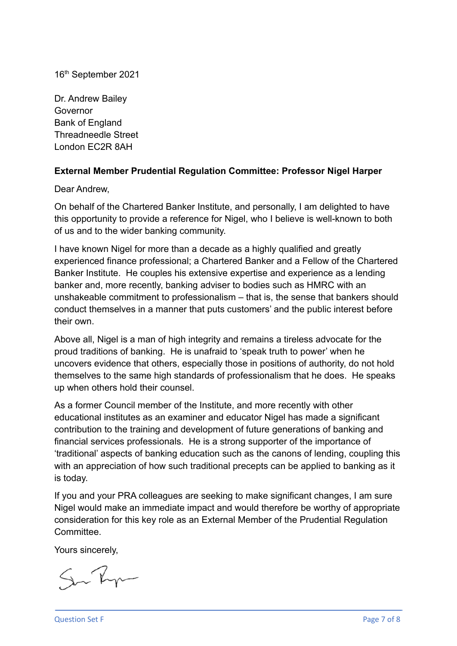16th September 2021

Dr. Andrew Bailey Governor Bank of England Threadneedle Street London EC2R 8AH

# **External Member Prudential Regulation Committee: Professor Nigel Harper**

Dear Andrew,

On behalf of the Chartered Banker Institute, and personally, I am delighted to have this opportunity to provide a reference for Nigel, who I believe is well-known to both of us and to the wider banking community.

I have known Nigel for more than a decade as a highly qualified and greatly experienced finance professional; a Chartered Banker and a Fellow of the Chartered Banker Institute. He couples his extensive expertise and experience as a lending banker and, more recently, banking adviser to bodies such as HMRC with an unshakeable commitment to professionalism – that is, the sense that bankers should conduct themselves in a manner that puts customers' and the public interest before their own.

Above all, Nigel is a man of high integrity and remains a tireless advocate for the proud traditions of banking. He is unafraid to 'speak truth to power' when he uncovers evidence that others, especially those in positions of authority, do not hold themselves to the same high standards of professionalism that he does. He speaks up when others hold their counsel.

As a former Council member of the Institute, and more recently with other educational institutes as an examiner and educator Nigel has made a significant contribution to the training and development of future generations of banking and financial services professionals. He is a strong supporter of the importance of 'traditional' aspects of banking education such as the canons of lending, coupling this with an appreciation of how such traditional precepts can be applied to banking as it is today.

If you and your PRA colleagues are seeking to make significant changes, I am sure Nigel would make an immediate impact and would therefore be worthy of appropriate consideration for this key role as an External Member of the Prudential Regulation **Committee.** 

Yours sincerely,

Sur Ry

Question Set F Page 7 of 8